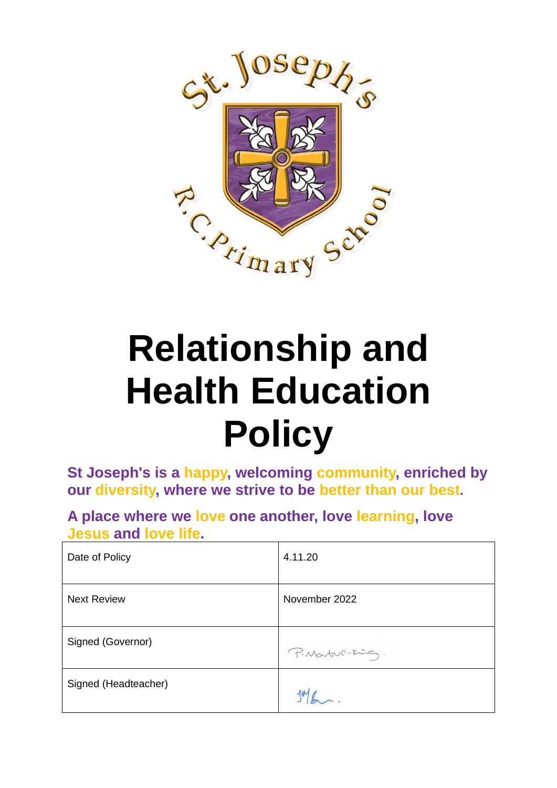

# **Relationship and Health Education Policy**

**St Joseph's is a happy, welcoming community, enriched by our diversity, where we strive to be better than our best.**

**A place where we love one another, love learning, love Jesus and love life.**

| Date of Policy       | 4.11.20         |
|----------------------|-----------------|
| <b>Next Review</b>   | November 2022   |
| Signed (Governor)    | P. Martin-King. |
| Signed (Headteacher) |                 |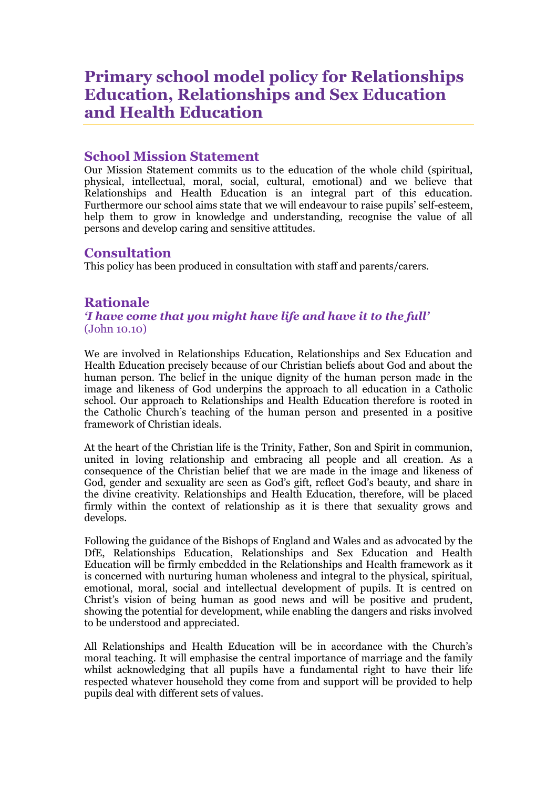# **Primary school model policy for Relationships Education, Relationships and Sex Education and Health Education**

# **School Mission Statement**

Our Mission Statement commits us to the education of the whole child (spiritual, physical, intellectual, moral, social, cultural, emotional) and we believe that Relationships and Health Education is an integral part of this education. Furthermore our school aims state that we will endeavour to raise pupils' self-esteem, help them to grow in knowledge and understanding, recognise the value of all persons and develop caring and sensitive attitudes.

# **Consultation**

This policy has been produced in consultation with staff and parents/carers.

# **Rationale**

*'I have come that you might have life and have it to the full'* (John 10.10)

We are involved in Relationships Education, Relationships and Sex Education and Health Education precisely because of our Christian beliefs about God and about the human person. The belief in the unique dignity of the human person made in the image and likeness of God underpins the approach to all education in a Catholic school. Our approach to Relationships and Health Education therefore is rooted in the Catholic Church's teaching of the human person and presented in a positive framework of Christian ideals.

At the heart of the Christian life is the Trinity, Father, Son and Spirit in communion, united in loving relationship and embracing all people and all creation. As a consequence of the Christian belief that we are made in the image and likeness of God, gender and sexuality are seen as God's gift, reflect God's beauty, and share in the divine creativity. Relationships and Health Education, therefore, will be placed firmly within the context of relationship as it is there that sexuality grows and develops.

Following the guidance of the Bishops of England and Wales and as advocated by the DfE, Relationships Education, Relationships and Sex Education and Health Education will be firmly embedded in the Relationships and Health framework as it is concerned with nurturing human wholeness and integral to the physical, spiritual, emotional, moral, social and intellectual development of pupils. It is centred on Christ's vision of being human as good news and will be positive and prudent, showing the potential for development, while enabling the dangers and risks involved to be understood and appreciated.

All Relationships and Health Education will be in accordance with the Church's moral teaching. It will emphasise the central importance of marriage and the family whilst acknowledging that all pupils have a fundamental right to have their life respected whatever household they come from and support will be provided to help pupils deal with different sets of values.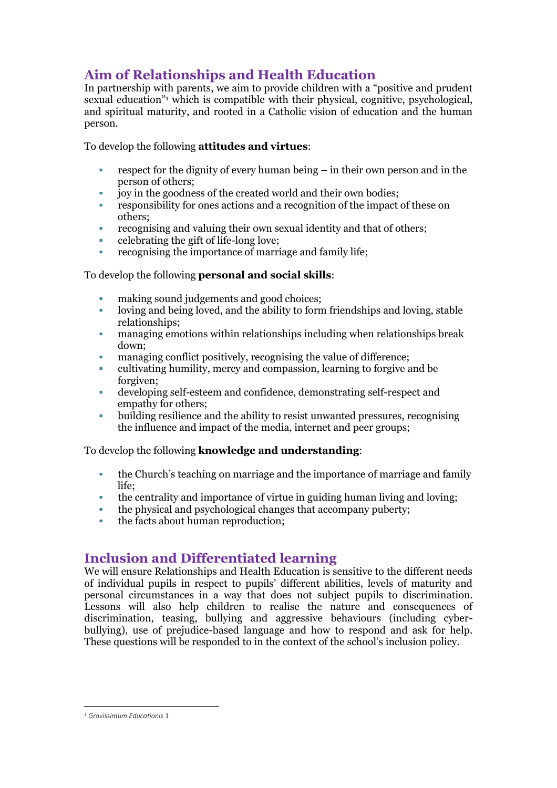# **Aim of Relationships and Health Education**

In partnership with parents, we aim to provide children with a "positive and prudent sexual education"<sup>1</sup> which is compatible with their physical, cognitive, psychological, and spiritual maturity, and rooted in a Catholic vision of education and the human person.

To develop the following **attitudes and virtues**:

- respect for the dignity of every human being in their own person and in the person of others;
- joy in the goodness of the created world and their own bodies;
- responsibility for ones actions and a recognition of the impact of these on others;
- recognising and valuing their own sexual identity and that of others;
- celebrating the gift of life-long love;
- recognising the importance of marriage and family life;

#### To develop the following **personal and social skills**:

- making sound judgements and good choices;
- loving and being loved, and the ability to form friendships and loving, stable relationships;
- managing emotions within relationships including when relationships break down;
- managing conflict positively, recognising the value of difference;
- cultivating humility, mercy and compassion, learning to forgive and be forgiven;
- developing self-esteem and confidence, demonstrating self-respect and empathy for others;
- building resilience and the ability to resist unwanted pressures, recognising the influence and impact of the media, internet and peer groups;

To develop the following **knowledge and understanding**:

- the Church's teaching on marriage and the importance of marriage and family life;
- the centrality and importance of virtue in guiding human living and loving;
- the physical and psychological changes that accompany puberty;
- the facts about human reproduction;

# **Inclusion and Differentiated learning**

We will ensure Relationships and Health Education is sensitive to the different needs of individual pupils in respect to pupils' different abilities, levels of maturity and personal circumstances in a way that does not subject pupils to discrimination. Lessons will also help children to realise the nature and consequences of discrimination, teasing, bullying and aggressive behaviours (including cyberbullying), use of prejudice-based language and how to respond and ask for help. These questions will be responded to in the context of the school's inclusion policy.

<sup>1</sup> *Gravissimum Educationis* 1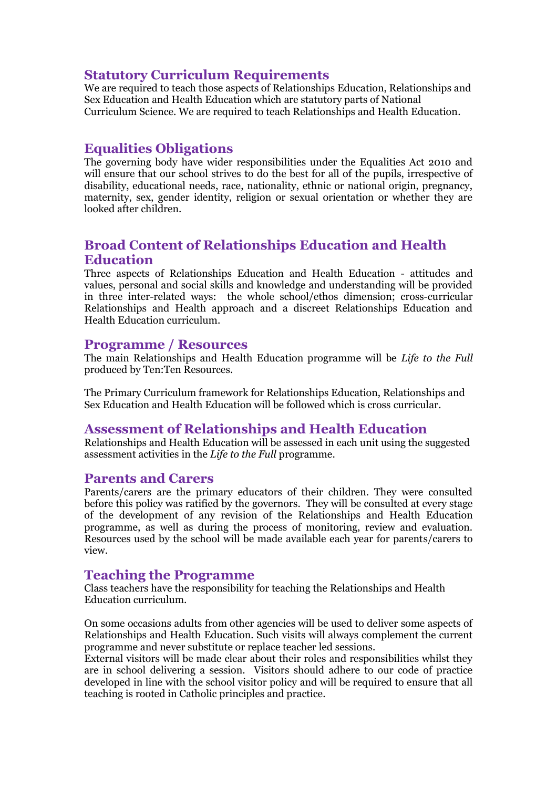# **Statutory Curriculum Requirements**

We are required to teach those aspects of Relationships Education, Relationships and Sex Education and Health Education which are statutory parts of National Curriculum Science. We are required to teach Relationships and Health Education.

# **Equalities Obligations**

The governing body have wider responsibilities under the Equalities Act 2010 and will ensure that our school strives to do the best for all of the pupils, irrespective of disability, educational needs, race, nationality, ethnic or national origin, pregnancy, maternity, sex, gender identity, religion or sexual orientation or whether they are looked after children.

# **Broad Content of Relationships Education and Health Education**

Three aspects of Relationships Education and Health Education - attitudes and values, personal and social skills and knowledge and understanding will be provided in three inter-related ways: the whole school/ethos dimension; cross-curricular Relationships and Health approach and a discreet Relationships Education and Health Education curriculum.

#### **Programme / Resources**

The main Relationships and Health Education programme will be *Life to the Full*  produced by Ten:Ten Resources.

The Primary Curriculum framework for Relationships Education, Relationships and Sex Education and Health Education will be followed which is cross curricular.

#### **Assessment of Relationships and Health Education**

Relationships and Health Education will be assessed in each unit using the suggested assessment activities in the *Life to the Full* programme.

#### **Parents and Carers**

Parents/carers are the primary educators of their children. They were consulted before this policy was ratified by the governors. They will be consulted at every stage of the development of any revision of the Relationships and Health Education programme, as well as during the process of monitoring, review and evaluation. Resources used by the school will be made available each year for parents/carers to view.

# **Teaching the Programme**

Class teachers have the responsibility for teaching the Relationships and Health Education curriculum.

On some occasions adults from other agencies will be used to deliver some aspects of Relationships and Health Education. Such visits will always complement the current programme and never substitute or replace teacher led sessions.

External visitors will be made clear about their roles and responsibilities whilst they are in school delivering a session. Visitors should adhere to our code of practice developed in line with the school visitor policy and will be required to ensure that all teaching is rooted in Catholic principles and practice.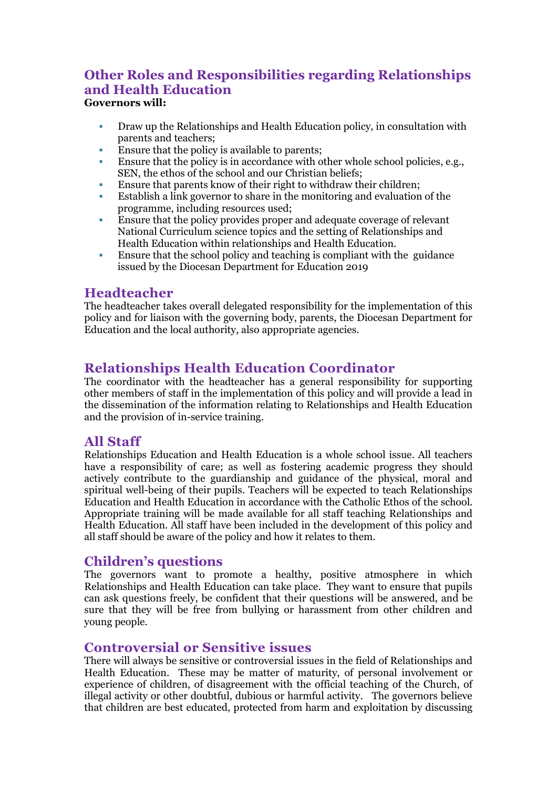### **Other Roles and Responsibilities regarding Relationships and Health Education Governors will:**

- Draw up the Relationships and Health Education policy, in consultation with parents and teachers;
- **Ensure that the policy is available to parents;**
- Ensure that the policy is in accordance with other whole school policies, e.g., SEN, the ethos of the school and our Christian beliefs;
- Ensure that parents know of their right to withdraw their children;
- Establish a link governor to share in the monitoring and evaluation of the programme, including resources used;
- Ensure that the policy provides proper and adequate coverage of relevant National Curriculum science topics and the setting of Relationships and Health Education within relationships and Health Education.
- Ensure that the school policy and teaching is compliant with the guidance issued by the Diocesan Department for Education 2019

### **Headteacher**

The headteacher takes overall delegated responsibility for the implementation of this policy and for liaison with the governing body, parents, the Diocesan Department for Education and the local authority, also appropriate agencies.

# **Relationships Health Education Coordinator**

The coordinator with the headteacher has a general responsibility for supporting other members of staff in the implementation of this policy and will provide a lead in the dissemination of the information relating to Relationships and Health Education and the provision of in-service training.

# **All Staff**

Relationships Education and Health Education is a whole school issue. All teachers have a responsibility of care; as well as fostering academic progress they should actively contribute to the guardianship and guidance of the physical, moral and spiritual well-being of their pupils. Teachers will be expected to teach Relationships Education and Health Education in accordance with the Catholic Ethos of the school. Appropriate training will be made available for all staff teaching Relationships and Health Education. All staff have been included in the development of this policy and all staff should be aware of the policy and how it relates to them.

#### **Children's questions**

The governors want to promote a healthy, positive atmosphere in which Relationships and Health Education can take place. They want to ensure that pupils can ask questions freely, be confident that their questions will be answered, and be sure that they will be free from bullying or harassment from other children and young people.

# **Controversial or Sensitive issues**

There will always be sensitive or controversial issues in the field of Relationships and Health Education. These may be matter of maturity, of personal involvement or experience of children, of disagreement with the official teaching of the Church, of illegal activity or other doubtful, dubious or harmful activity. The governors believe that children are best educated, protected from harm and exploitation by discussing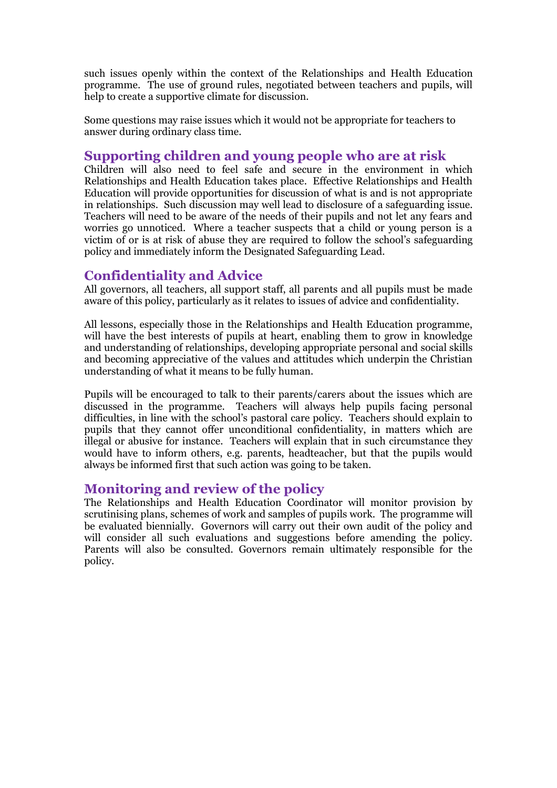such issues openly within the context of the Relationships and Health Education programme. The use of ground rules, negotiated between teachers and pupils, will help to create a supportive climate for discussion.

Some questions may raise issues which it would not be appropriate for teachers to answer during ordinary class time.

# **Supporting children and young people who are at risk**

Children will also need to feel safe and secure in the environment in which Relationships and Health Education takes place. Effective Relationships and Health Education will provide opportunities for discussion of what is and is not appropriate in relationships. Such discussion may well lead to disclosure of a safeguarding issue. Teachers will need to be aware of the needs of their pupils and not let any fears and worries go unnoticed. Where a teacher suspects that a child or young person is a victim of or is at risk of abuse they are required to follow the school's safeguarding policy and immediately inform the Designated Safeguarding Lead.

# **Confidentiality and Advice**

All governors, all teachers, all support staff, all parents and all pupils must be made aware of this policy, particularly as it relates to issues of advice and confidentiality.

All lessons, especially those in the Relationships and Health Education programme, will have the best interests of pupils at heart, enabling them to grow in knowledge and understanding of relationships, developing appropriate personal and social skills and becoming appreciative of the values and attitudes which underpin the Christian understanding of what it means to be fully human.

Pupils will be encouraged to talk to their parents/carers about the issues which are discussed in the programme. Teachers will always help pupils facing personal difficulties, in line with the school's pastoral care policy. Teachers should explain to pupils that they cannot offer unconditional confidentiality, in matters which are illegal or abusive for instance. Teachers will explain that in such circumstance they would have to inform others, e.g. parents, headteacher, but that the pupils would always be informed first that such action was going to be taken.

# **Monitoring and review of the policy**

The Relationships and Health Education Coordinator will monitor provision by scrutinising plans, schemes of work and samples of pupils work. The programme will be evaluated biennially. Governors will carry out their own audit of the policy and will consider all such evaluations and suggestions before amending the policy. Parents will also be consulted. Governors remain ultimately responsible for the policy.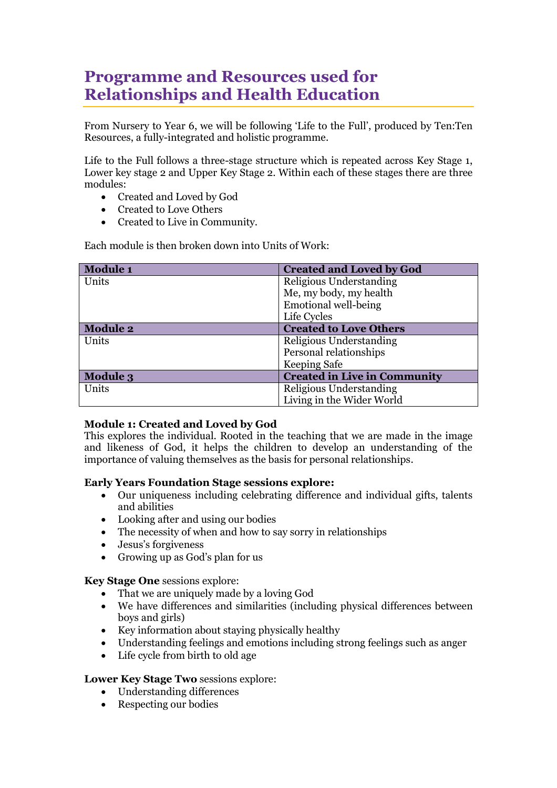# **Programme and Resources used for Relationships and Health Education**

From Nursery to Year 6, we will be following 'Life to the Full', produced by Ten:Ten Resources, a fully-integrated and holistic programme.

Life to the Full follows a three-stage structure which is repeated across Key Stage 1, Lower key stage 2 and Upper Key Stage 2. Within each of these stages there are three modules:

- Created and Loved by God
- Created to Love Others
- Created to Live in Community.

Each module is then broken down into Units of Work:

| <b>Module 1</b> | <b>Created and Loved by God</b>     |
|-----------------|-------------------------------------|
| Units           | Religious Understanding             |
|                 | Me, my body, my health              |
|                 | Emotional well-being                |
|                 | Life Cycles                         |
| <b>Module 2</b> | <b>Created to Love Others</b>       |
| Units           | Religious Understanding             |
|                 | Personal relationships              |
|                 | Keeping Safe                        |
| <b>Module 3</b> | <b>Created in Live in Community</b> |
| Units           | Religious Understanding             |
|                 | Living in the Wider World           |

#### **Module 1: Created and Loved by God**

This explores the individual. Rooted in the teaching that we are made in the image and likeness of God, it helps the children to develop an understanding of the importance of valuing themselves as the basis for personal relationships.

#### **Early Years Foundation Stage sessions explore:**

- Our uniqueness including celebrating difference and individual gifts, talents and abilities
- Looking after and using our bodies
- The necessity of when and how to say sorry in relationships
- Jesus's forgiveness
- Growing up as God's plan for us

**Key Stage One** sessions explore:

- That we are uniquely made by a loving God
- We have differences and similarities (including physical differences between boys and girls)
- Key information about staying physically healthy
- Understanding feelings and emotions including strong feelings such as anger
- Life cycle from birth to old age

#### **Lower Key Stage Two** sessions explore:

- Understanding differences
- Respecting our bodies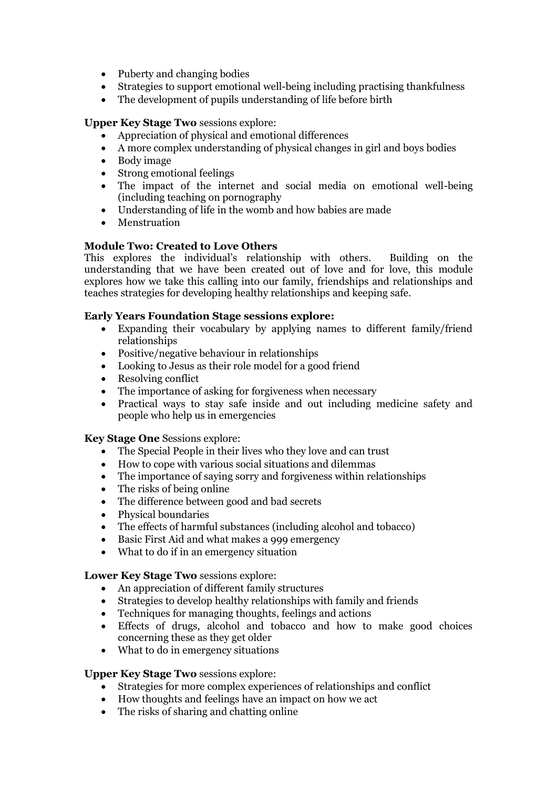- Puberty and changing bodies
- Strategies to support emotional well-being including practising thankfulness
- The development of pupils understanding of life before birth

#### **Upper Key Stage Two** sessions explore:

- Appreciation of physical and emotional differences
- A more complex understanding of physical changes in girl and boys bodies
- Body image
- Strong emotional feelings
- The impact of the internet and social media on emotional well-being (including teaching on pornography
- Understanding of life in the womb and how babies are made
- **Menstruation**

#### **Module Two: Created to Love Others**

This explores the individual's relationship with others. Building on the understanding that we have been created out of love and for love, this module explores how we take this calling into our family, friendships and relationships and teaches strategies for developing healthy relationships and keeping safe.

#### **Early Years Foundation Stage sessions explore:**

- Expanding their vocabulary by applying names to different family/friend relationships
- Positive/negative behaviour in relationships
- Looking to Jesus as their role model for a good friend
- Resolving conflict
- The importance of asking for forgiveness when necessary
- Practical ways to stay safe inside and out including medicine safety and people who help us in emergencies

#### **Key Stage One** Sessions explore:

- The Special People in their lives who they love and can trust
- How to cope with various social situations and dilemmas
- The importance of saying sorry and forgiveness within relationships The risks of being online
- The risks of being online
- The difference between good and bad secrets
- Physical boundaries
- The effects of harmful substances (including alcohol and tobacco)
- Basic First Aid and what makes a 999 emergency
- What to do if in an emergency situation

#### **Lower Key Stage Two** sessions explore:

- An appreciation of different family structures
- Strategies to develop healthy relationships with family and friends
- Techniques for managing thoughts, feelings and actions
- Effects of drugs, alcohol and tobacco and how to make good choices concerning these as they get older
- What to do in emergency situations

#### **Upper Key Stage Two** sessions explore:

- Strategies for more complex experiences of relationships and conflict
- How thoughts and feelings have an impact on how we act
- The risks of sharing and chatting online